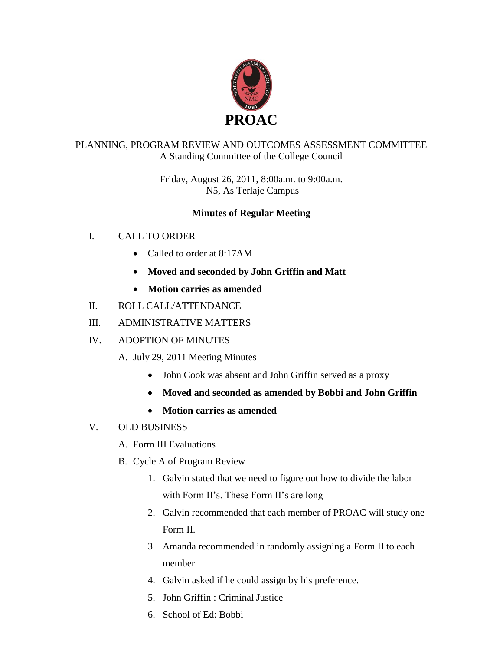

# PLANNING, PROGRAM REVIEW AND OUTCOMES ASSESSMENT COMMITTEE A Standing Committee of the College Council

Friday, August 26, 2011, 8:00a.m. to 9:00a.m. N5, As Terlaje Campus

# **Minutes of Regular Meeting**

- I. CALL TO ORDER
	- Called to order at 8:17AM
	- **Moved and seconded by John Griffin and Matt**
	- **Motion carries as amended**
- II. ROLL CALL/ATTENDANCE
- III. ADMINISTRATIVE MATTERS
- IV. ADOPTION OF MINUTES
	- A. July 29, 2011 Meeting Minutes
		- John Cook was absent and John Griffin served as a proxy
		- **Moved and seconded as amended by Bobbi and John Griffin**
		- **Motion carries as amended**
- V. OLD BUSINESS
	- A. Form III Evaluations
	- B. Cycle A of Program Review
		- 1. Galvin stated that we need to figure out how to divide the labor with Form II's. These Form II's are long
		- 2. Galvin recommended that each member of PROAC will study one Form II.
		- 3. Amanda recommended in randomly assigning a Form II to each member.
		- 4. Galvin asked if he could assign by his preference.
		- 5. John Griffin : Criminal Justice
		- 6. School of Ed: Bobbi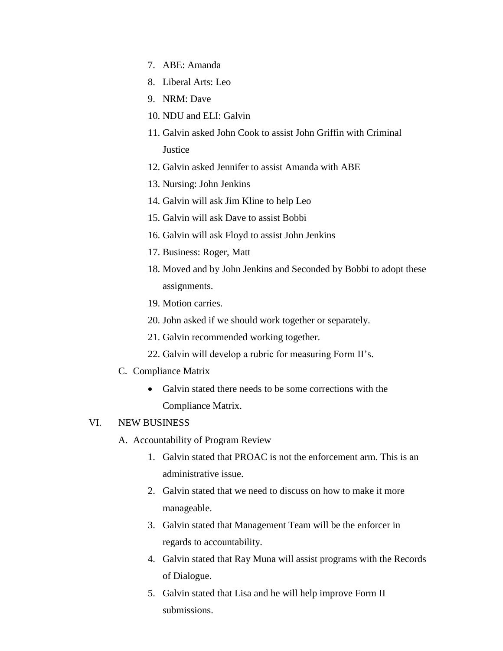- 7. ABE: Amanda
- 8. Liberal Arts: Leo
- 9. NRM: Dave
- 10. NDU and ELI: Galvin
- 11. Galvin asked John Cook to assist John Griffin with Criminal **Justice**
- 12. Galvin asked Jennifer to assist Amanda with ABE
- 13. Nursing: John Jenkins
- 14. Galvin will ask Jim Kline to help Leo
- 15. Galvin will ask Dave to assist Bobbi
- 16. Galvin will ask Floyd to assist John Jenkins
- 17. Business: Roger, Matt
- 18. Moved and by John Jenkins and Seconded by Bobbi to adopt these assignments.
- 19. Motion carries.
- 20. John asked if we should work together or separately.
- 21. Galvin recommended working together.
- 22. Galvin will develop a rubric for measuring Form II's.
- C. Compliance Matrix
	- Galvin stated there needs to be some corrections with the Compliance Matrix.

#### VI. NEW BUSINESS

- A. Accountability of Program Review
	- 1. Galvin stated that PROAC is not the enforcement arm. This is an administrative issue.
	- 2. Galvin stated that we need to discuss on how to make it more manageable.
	- 3. Galvin stated that Management Team will be the enforcer in regards to accountability.
	- 4. Galvin stated that Ray Muna will assist programs with the Records of Dialogue.
	- 5. Galvin stated that Lisa and he will help improve Form II submissions.